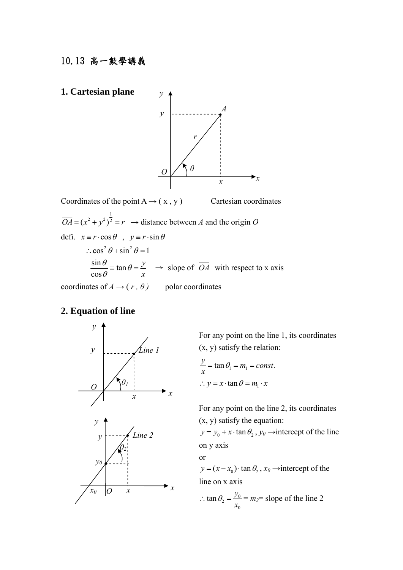# 10.13 高一數學講義



 $\overline{OA} = (x^2 + y^2)^{\frac{1}{2}} = r \longrightarrow$  distance between *A* and the origin *O* defi.  $x \equiv r \cdot \cos \theta$ ,  $y \equiv r \cdot \sin \theta$  $\therefore$  cos<sup>2</sup>  $\theta$  + sin<sup>2</sup>  $\theta$  = 1  $\frac{\sin \theta}{\theta} \equiv \tan \theta$ cos *y x*  $\theta$  = tan  $\theta$  $\frac{\partial}{\partial \theta}$  = tan  $\theta = \frac{y}{x}$   $\rightarrow$  slope of *OA* with respect to x axis coordinates of  $A \rightarrow (r, \theta)$  polar coordinates

# **2. Equation of line**



For any point on the line 1, its coordinates (x, y) satisfy the relation:

$$
\frac{y}{x} = \tan \theta_1 = m_1 = const.
$$
  
 
$$
\therefore y = x \cdot \tan \theta = m_1 \cdot x
$$

or

 For any point on the line 2, its coordinates (x, y) satisfy the equation:

 $y = y_0 + x \cdot \tan \theta_2$ ,  $y_0 \rightarrow$  intercept of the line on y axis

 $y = (x - x_0) \cdot \tan \theta_2$ ,  $x_0 \rightarrow$  intercept of the line on x axis

$$
\therefore \tan \theta_2 = \frac{y_0}{x_0} = m_2 = \text{slope of the line 2}
$$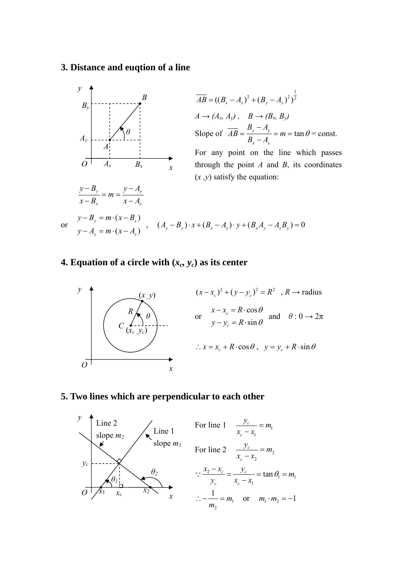# **3. Distance and euqtion of a line**



### **4. Equation of a circle with**  $(x_c, y_c)$  **as its center**



#### **5. Two lines which are perpendicular to each other**

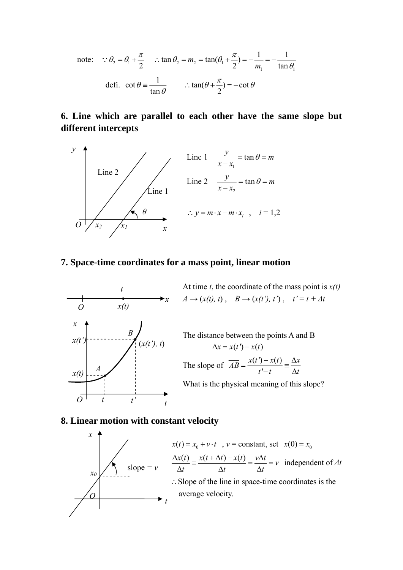note: 
$$
\therefore \theta_2 = \theta_1 + \frac{\pi}{2} \quad \therefore \tan \theta_2 = m_2 = \tan(\theta_1 + \frac{\pi}{2}) = -\frac{1}{m_1} = -\frac{1}{\tan \theta_1}
$$
  
defi. 
$$
\cot \theta = \frac{1}{\tan \theta} \quad \therefore \tan(\theta + \frac{\pi}{2}) = -\cot \theta
$$

# **6. Line which are parallel to each other have the same slope but different intercepts**



### **7. Space-time coordinates for a mass point, linear motion**



### **8. Linear motion with constant velocity**